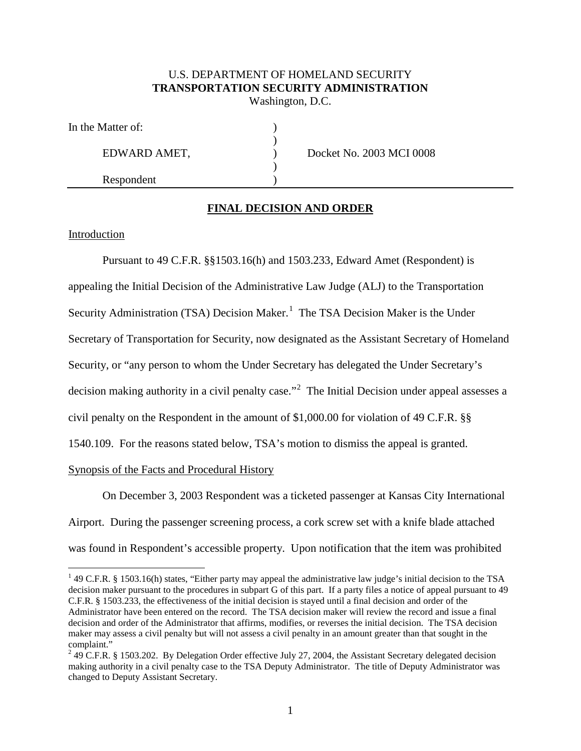# U.S. DEPARTMENT OF HOMELAND SECURITY **TRANSPORTATION SECURITY ADMINISTRATION** Washington, D.C.

)

)

| In the Matter of: |  |
|-------------------|--|
|                   |  |

Respondent )

EDWARD AMET,  $D$  Docket No. 2003 MCI 0008

# **FINAL DECISION AND ORDER**

## Introduction

Pursuant to 49 C.F.R. §§1503.16(h) and 1503.233, Edward Amet (Respondent) is appealing the Initial Decision of the Administrative Law Judge (ALJ) to the Transportation Security Administration (TSA) Decision Maker.<sup>1</sup> The TSA Decision Maker is the Under Secretary of Transportation for Security, now designated as the Assistant Secretary of Homeland Security, or "any person to whom the Under Secretary has delegated the Under Secretary's decision making authority in a civil penalty case."<sup>2</sup> The Initial Decision under appeal assesses a civil penalty on the Respondent in the amount of \$1,000.00 for violation of 49 C.F.R. §§ 1540.109. For the reasons stated below, TSA's motion to dismiss the appeal is granted. Synopsis of the Facts and Procedural History

On December 3, 2003 Respondent was a ticketed passenger at Kansas City International Airport. During the passenger screening process, a cork screw set with a knife blade attached was found in Respondent's accessible property. Upon notification that the item was prohibited

 $1$  49 C.F.R. § 1503.16(h) states, "Either party may appeal the administrative law judge's initial decision to the TSA decision maker pursuant to the procedures in subpart G of this part. If a party files a notice of appeal pursuant to 49 C.F.R. § 1503.233, the effectiveness of the initial decision is stayed until a final decision and order of the Administrator have been entered on the record. The TSA decision maker will review the record and issue a final decision and order of the Administrator that affirms, modifies, or reverses the initial decision. The TSA decision maker may assess a civil penalty but will not assess a civil penalty in an amount greater than that sought in the complaint."

<sup>2</sup> 49 C.F.R. § 1503.202. By Delegation Order effective July 27, 2004, the Assistant Secretary delegated decision making authority in a civil penalty case to the TSA Deputy Administrator. The title of Deputy Administrator was changed to Deputy Assistant Secretary.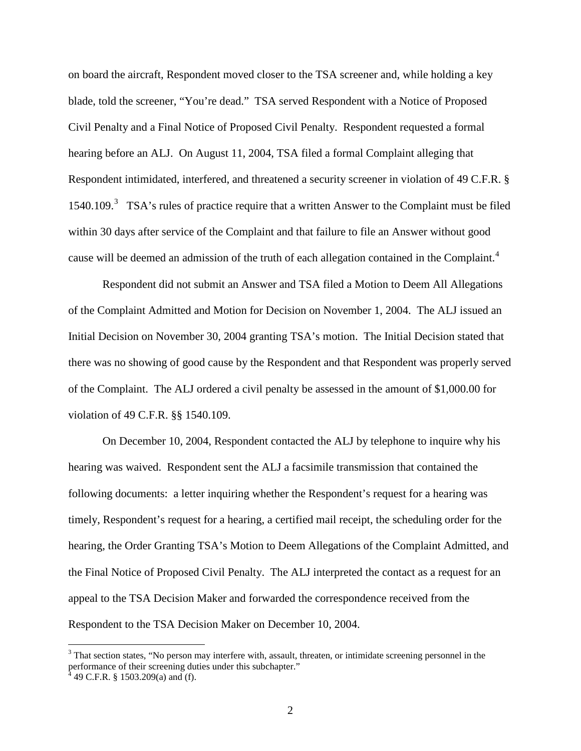on board the aircraft, Respondent moved closer to the TSA screener and, while holding a key blade, told the screener, "You're dead." TSA served Respondent with a Notice of Proposed Civil Penalty and a Final Notice of Proposed Civil Penalty. Respondent requested a formal hearing before an ALJ. On August 11, 2004, TSA filed a formal Complaint alleging that Respondent intimidated, interfered, and threatened a security screener in violation of 49 C.F.R. § 1540.109.<sup>3</sup> TSA's rules of practice require that a written Answer to the Complaint must be filed within 30 days after service of the Complaint and that failure to file an Answer without good cause will be deemed an admission of the truth of each allegation contained in the Complaint.<sup>4</sup>

Respondent did not submit an Answer and TSA filed a Motion to Deem All Allegations of the Complaint Admitted and Motion for Decision on November 1, 2004. The ALJ issued an Initial Decision on November 30, 2004 granting TSA's motion. The Initial Decision stated that there was no showing of good cause by the Respondent and that Respondent was properly served of the Complaint. The ALJ ordered a civil penalty be assessed in the amount of \$1,000.00 for violation of 49 C.F.R. §§ 1540.109.

On December 10, 2004, Respondent contacted the ALJ by telephone to inquire why his hearing was waived. Respondent sent the ALJ a facsimile transmission that contained the following documents: a letter inquiring whether the Respondent's request for a hearing was timely, Respondent's request for a hearing, a certified mail receipt, the scheduling order for the hearing, the Order Granting TSA's Motion to Deem Allegations of the Complaint Admitted, and the Final Notice of Proposed Civil Penalty. The ALJ interpreted the contact as a request for an appeal to the TSA Decision Maker and forwarded the correspondence received from the Respondent to the TSA Decision Maker on December 10, 2004.

 $3$  That section states, "No person may interfere with, assault, threaten, or intimidate screening personnel in the performance of their screening duties under this subchapter."

 $4\overline{4}$  49 C.F.R. § 1503.209(a) and (f).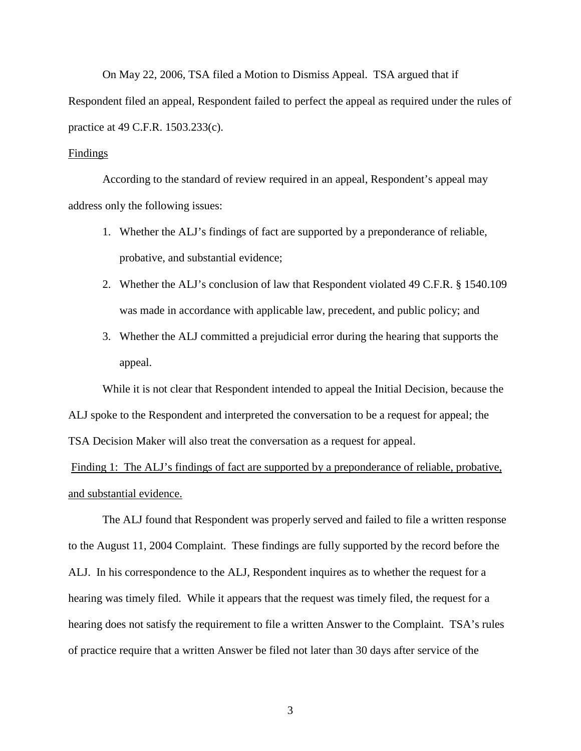On May 22, 2006, TSA filed a Motion to Dismiss Appeal. TSA argued that if Respondent filed an appeal, Respondent failed to perfect the appeal as required under the rules of practice at 49 C.F.R. 1503.233(c).

### **Findings**

According to the standard of review required in an appeal, Respondent's appeal may address only the following issues:

- 1. Whether the ALJ's findings of fact are supported by a preponderance of reliable, probative, and substantial evidence;
- 2. Whether the ALJ's conclusion of law that Respondent violated 49 C.F.R. § 1540.109 was made in accordance with applicable law, precedent, and public policy; and
- 3. Whether the ALJ committed a prejudicial error during the hearing that supports the appeal.

While it is not clear that Respondent intended to appeal the Initial Decision, because the ALJ spoke to the Respondent and interpreted the conversation to be a request for appeal; the TSA Decision Maker will also treat the conversation as a request for appeal.

Finding 1: The ALJ's findings of fact are supported by a preponderance of reliable, probative, and substantial evidence.

The ALJ found that Respondent was properly served and failed to file a written response to the August 11, 2004 Complaint. These findings are fully supported by the record before the ALJ. In his correspondence to the ALJ, Respondent inquires as to whether the request for a hearing was timely filed. While it appears that the request was timely filed, the request for a hearing does not satisfy the requirement to file a written Answer to the Complaint. TSA's rules of practice require that a written Answer be filed not later than 30 days after service of the

3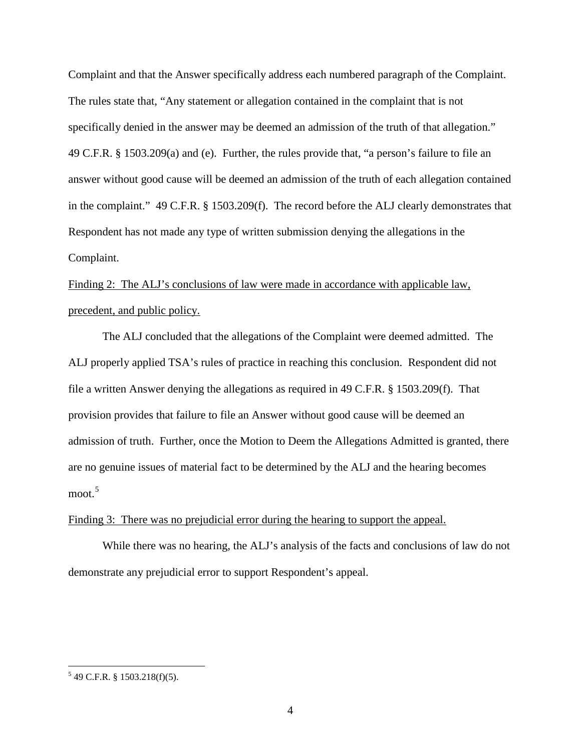Complaint and that the Answer specifically address each numbered paragraph of the Complaint. The rules state that, "Any statement or allegation contained in the complaint that is not specifically denied in the answer may be deemed an admission of the truth of that allegation." 49 C.F.R. § 1503.209(a) and (e). Further, the rules provide that, "a person's failure to file an answer without good cause will be deemed an admission of the truth of each allegation contained in the complaint." 49 C.F.R. § 1503.209(f). The record before the ALJ clearly demonstrates that Respondent has not made any type of written submission denying the allegations in the Complaint.

Finding 2: The ALJ's conclusions of law were made in accordance with applicable law, precedent, and public policy.

The ALJ concluded that the allegations of the Complaint were deemed admitted. The ALJ properly applied TSA's rules of practice in reaching this conclusion. Respondent did not file a written Answer denying the allegations as required in 49 C.F.R. § 1503.209(f). That provision provides that failure to file an Answer without good cause will be deemed an admission of truth. Further, once the Motion to Deem the Allegations Admitted is granted, there are no genuine issues of material fact to be determined by the ALJ and the hearing becomes moot. 5

### Finding 3: There was no prejudicial error during the hearing to support the appeal.

While there was no hearing, the ALJ's analysis of the facts and conclusions of law do not demonstrate any prejudicial error to support Respondent's appeal.

 $5$  49 C.F.R. § 1503.218(f)(5).